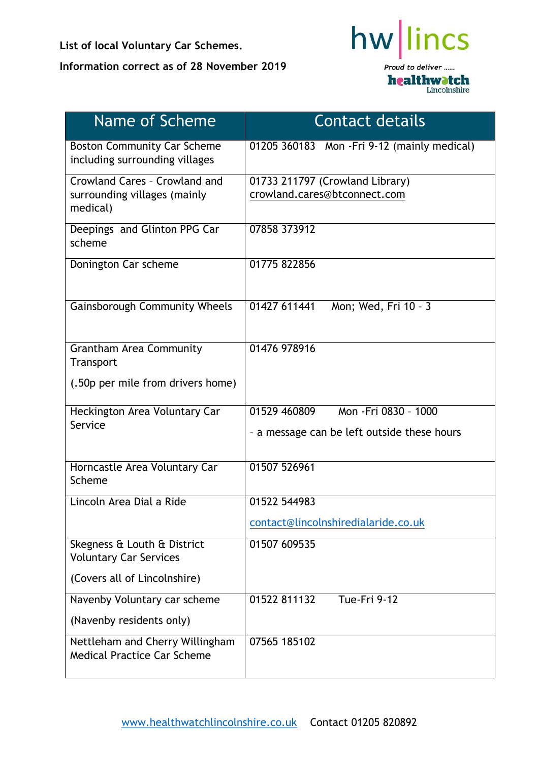**List of local Voluntary Car Schemes. Information correct as of 28 November 2019**



| Name of Scheme                                                            | <b>Contact details</b>                                                               |
|---------------------------------------------------------------------------|--------------------------------------------------------------------------------------|
| <b>Boston Community Car Scheme</b><br>including surrounding villages      | 01205 360183 Mon - Fri 9-12 (mainly medical)                                         |
| Crowland Cares - Crowland and<br>surrounding villages (mainly<br>medical) | 01733 211797 (Crowland Library)<br>crowland.cares@btconnect.com                      |
| Deepings and Glinton PPG Car<br>scheme                                    | 07858 373912                                                                         |
| Donington Car scheme                                                      | 01775 822856                                                                         |
| <b>Gainsborough Community Wheels</b>                                      | 01427 611441<br>Mon; Wed, Fri 10 - 3                                                 |
| <b>Grantham Area Community</b><br>Transport                               | 01476 978916                                                                         |
| (.50p per mile from drivers home)                                         |                                                                                      |
| Heckington Area Voluntary Car<br>Service                                  | Mon - Fri 0830 - 1000<br>01529 460809<br>- a message can be left outside these hours |
| Horncastle Area Voluntary Car<br>Scheme                                   | 01507 526961                                                                         |
| Lincoln Area Dial a Ride                                                  | 01522 544983                                                                         |
|                                                                           | contact@lincolnshiredialaride.co.uk                                                  |
| Skegness & Louth & District<br><b>Voluntary Car Services</b>              | 01507 609535                                                                         |
| (Covers all of Lincolnshire)                                              |                                                                                      |
| Navenby Voluntary car scheme                                              | 01522 811132<br>Tue-Fri 9-12                                                         |
| (Navenby residents only)                                                  |                                                                                      |
| Nettleham and Cherry Willingham<br><b>Medical Practice Car Scheme</b>     | 07565 185102                                                                         |